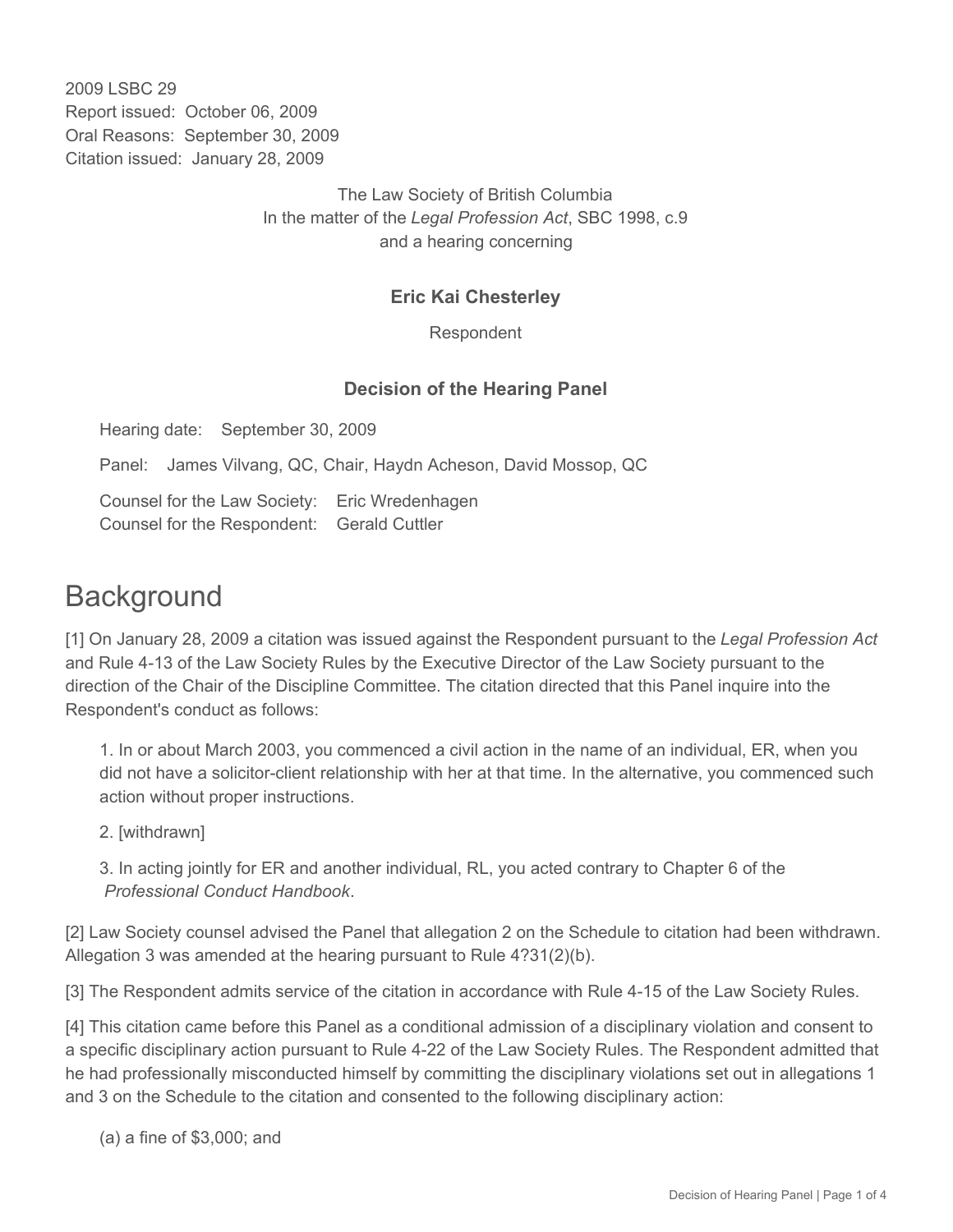2009 LSBC 29 Report issued: October 06, 2009 Oral Reasons: September 30, 2009 Citation issued: January 28, 2009

> The Law Society of British Columbia In the matter of the *Legal Profession Act*, SBC 1998, c.9 and a hearing concerning

## **Eric Kai Chesterley**

Respondent

## **Decision of the Hearing Panel**

Hearing date: September 30, 2009

Panel: James Vilvang, QC, Chair, Haydn Acheson, David Mossop, QC

Counsel for the Law Society: Eric Wredenhagen Counsel for the Respondent: Gerald Cuttler

## **Background**

[1] On January 28, 2009 a citation was issued against the Respondent pursuant to the *Legal Profession Act* and Rule 4-13 of the Law Society Rules by the Executive Director of the Law Society pursuant to the direction of the Chair of the Discipline Committee. The citation directed that this Panel inquire into the Respondent's conduct as follows:

1. In or about March 2003, you commenced a civil action in the name of an individual, ER, when you did not have a solicitor-client relationship with her at that time. In the alternative, you commenced such action without proper instructions.

2. [withdrawn]

3. In acting jointly for ER and another individual, RL, you acted contrary to Chapter 6 of the *Professional Conduct Handbook*.

[2] Law Society counsel advised the Panel that allegation 2 on the Schedule to citation had been withdrawn. Allegation 3 was amended at the hearing pursuant to Rule 4?31(2)(b).

[3] The Respondent admits service of the citation in accordance with Rule 4-15 of the Law Society Rules.

[4] This citation came before this Panel as a conditional admission of a disciplinary violation and consent to a specific disciplinary action pursuant to Rule 4-22 of the Law Society Rules. The Respondent admitted that he had professionally misconducted himself by committing the disciplinary violations set out in allegations 1 and 3 on the Schedule to the citation and consented to the following disciplinary action:

(a) a fine of \$3,000; and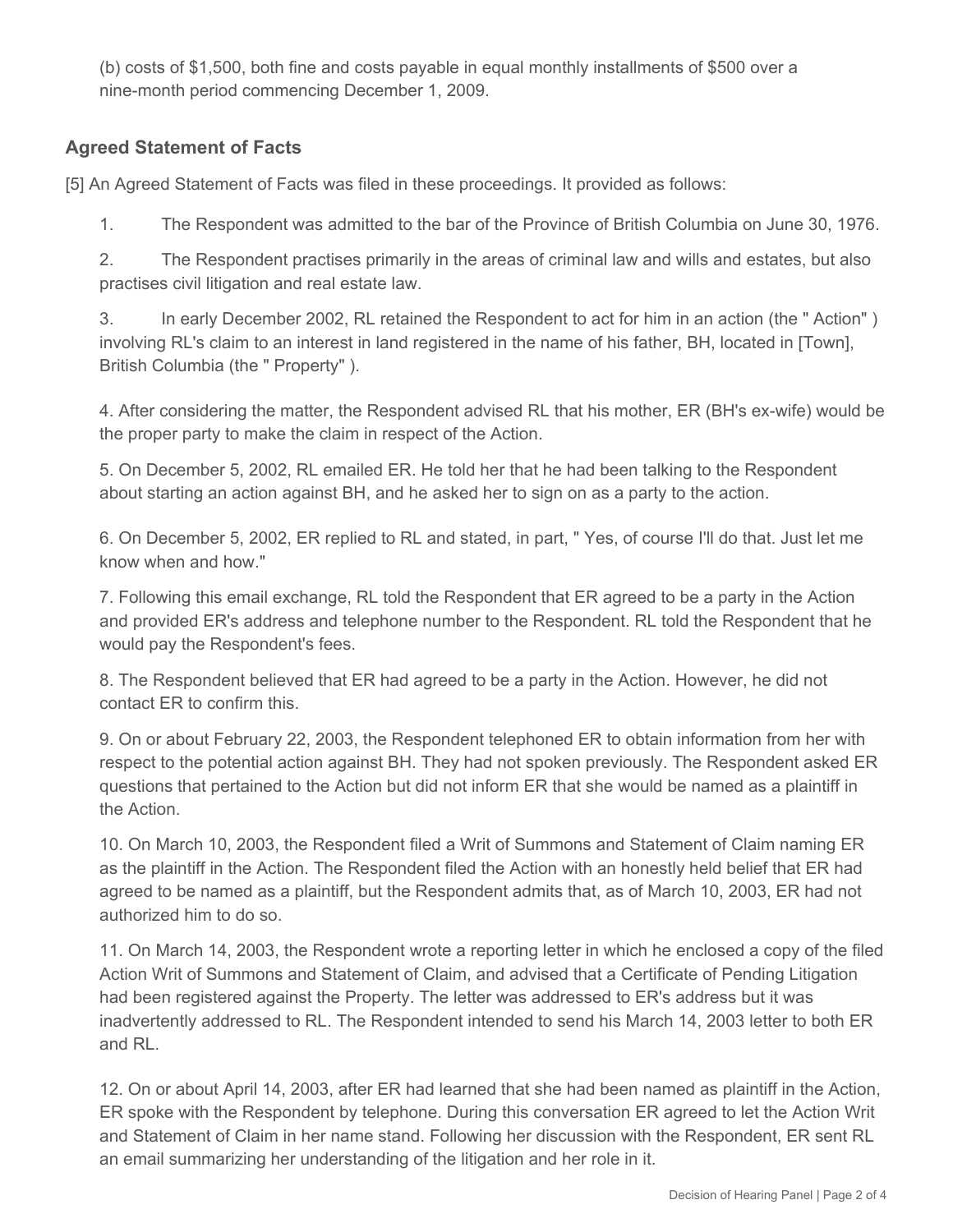(b) costs of \$1,500, both fine and costs payable in equal monthly installments of \$500 over a nine-month period commencing December 1, 2009.

## **Agreed Statement of Facts**

[5] An Agreed Statement of Facts was filed in these proceedings. It provided as follows:

1. The Respondent was admitted to the bar of the Province of British Columbia on June 30, 1976.

2. The Respondent practises primarily in the areas of criminal law and wills and estates, but also practises civil litigation and real estate law.

3. In early December 2002, RL retained the Respondent to act for him in an action (the " Action" ) involving RL's claim to an interest in land registered in the name of his father, BH, located in [Town], British Columbia (the " Property" ).

4. After considering the matter, the Respondent advised RL that his mother, ER (BH's ex-wife) would be the proper party to make the claim in respect of the Action.

5. On December 5, 2002, RL emailed ER. He told her that he had been talking to the Respondent about starting an action against BH, and he asked her to sign on as a party to the action.

6. On December 5, 2002, ER replied to RL and stated, in part, " Yes, of course I'll do that. Just let me know when and how."

7. Following this email exchange, RL told the Respondent that ER agreed to be a party in the Action and provided ER's address and telephone number to the Respondent. RL told the Respondent that he would pay the Respondent's fees.

8. The Respondent believed that ER had agreed to be a party in the Action. However, he did not contact ER to confirm this.

9. On or about February 22, 2003, the Respondent telephoned ER to obtain information from her with respect to the potential action against BH. They had not spoken previously. The Respondent asked ER questions that pertained to the Action but did not inform ER that she would be named as a plaintiff in the Action.

10. On March 10, 2003, the Respondent filed a Writ of Summons and Statement of Claim naming ER as the plaintiff in the Action. The Respondent filed the Action with an honestly held belief that ER had agreed to be named as a plaintiff, but the Respondent admits that, as of March 10, 2003, ER had not authorized him to do so.

11. On March 14, 2003, the Respondent wrote a reporting letter in which he enclosed a copy of the filed Action Writ of Summons and Statement of Claim, and advised that a Certificate of Pending Litigation had been registered against the Property. The letter was addressed to ER's address but it was inadvertently addressed to RL. The Respondent intended to send his March 14, 2003 letter to both ER and RL.

12. On or about April 14, 2003, after ER had learned that she had been named as plaintiff in the Action, ER spoke with the Respondent by telephone. During this conversation ER agreed to let the Action Writ and Statement of Claim in her name stand. Following her discussion with the Respondent, ER sent RL an email summarizing her understanding of the litigation and her role in it.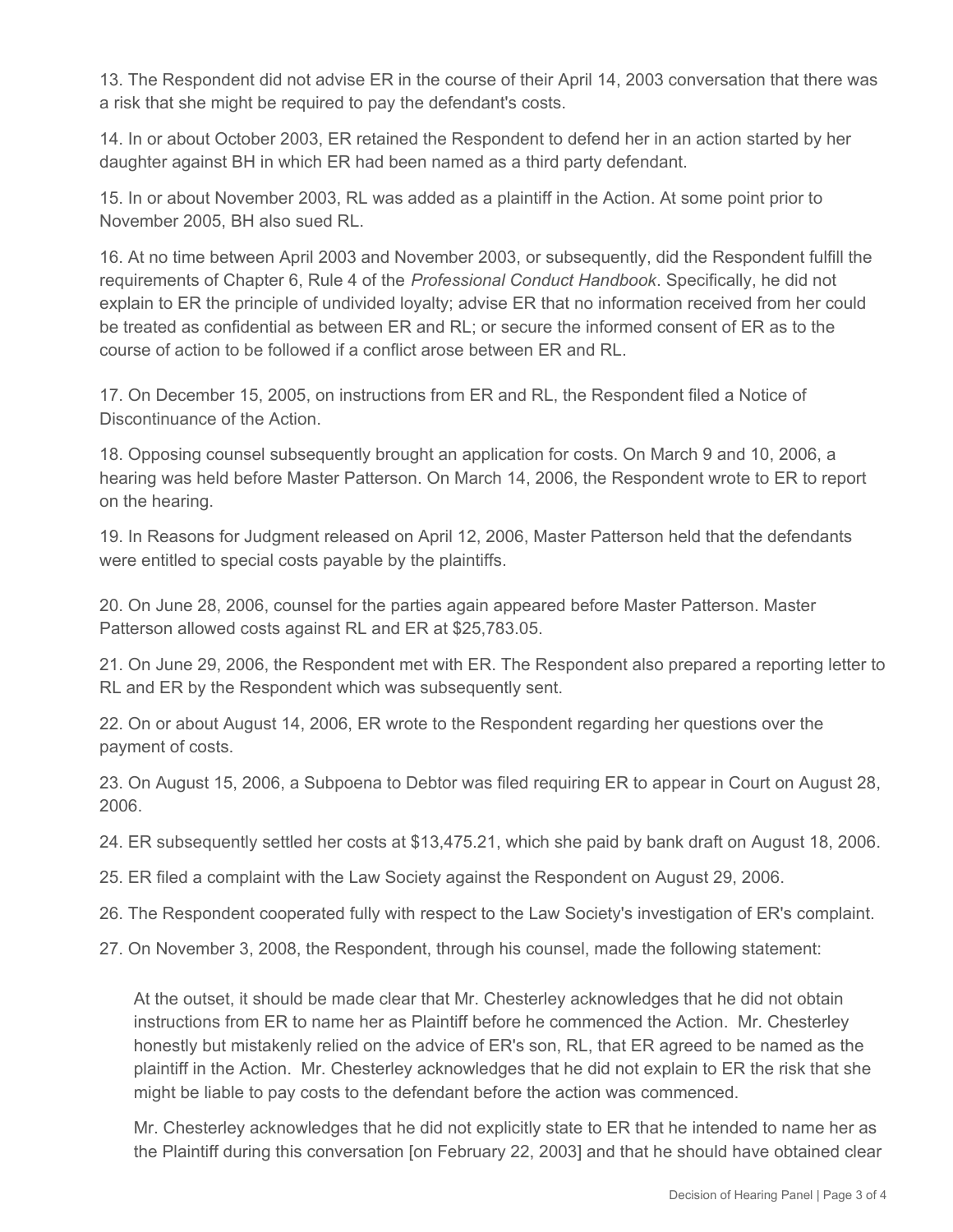13. The Respondent did not advise ER in the course of their April 14, 2003 conversation that there was a risk that she might be required to pay the defendant's costs.

14. In or about October 2003, ER retained the Respondent to defend her in an action started by her daughter against BH in which ER had been named as a third party defendant.

15. In or about November 2003, RL was added as a plaintiff in the Action. At some point prior to November 2005, BH also sued RL.

16. At no time between April 2003 and November 2003, or subsequently, did the Respondent fulfill the requirements of Chapter 6, Rule 4 of the *Professional Conduct Handbook*. Specifically, he did not explain to ER the principle of undivided loyalty; advise ER that no information received from her could be treated as confidential as between ER and RL; or secure the informed consent of ER as to the course of action to be followed if a conflict arose between ER and RL.

17. On December 15, 2005, on instructions from ER and RL, the Respondent filed a Notice of Discontinuance of the Action.

18. Opposing counsel subsequently brought an application for costs. On March 9 and 10, 2006, a hearing was held before Master Patterson. On March 14, 2006, the Respondent wrote to ER to report on the hearing.

19. In Reasons for Judgment released on April 12, 2006, Master Patterson held that the defendants were entitled to special costs payable by the plaintiffs.

20. On June 28, 2006, counsel for the parties again appeared before Master Patterson. Master Patterson allowed costs against RL and ER at \$25,783.05.

21. On June 29, 2006, the Respondent met with ER. The Respondent also prepared a reporting letter to RL and ER by the Respondent which was subsequently sent.

22. On or about August 14, 2006, ER wrote to the Respondent regarding her questions over the payment of costs.

23. On August 15, 2006, a Subpoena to Debtor was filed requiring ER to appear in Court on August 28, 2006.

24. ER subsequently settled her costs at \$13,475.21, which she paid by bank draft on August 18, 2006.

25. ER filed a complaint with the Law Society against the Respondent on August 29, 2006.

26. The Respondent cooperated fully with respect to the Law Society's investigation of ER's complaint.

27. On November 3, 2008, the Respondent, through his counsel, made the following statement:

At the outset, it should be made clear that Mr. Chesterley acknowledges that he did not obtain instructions from ER to name her as Plaintiff before he commenced the Action. Mr. Chesterley honestly but mistakenly relied on the advice of ER's son, RL, that ER agreed to be named as the plaintiff in the Action. Mr. Chesterley acknowledges that he did not explain to ER the risk that she might be liable to pay costs to the defendant before the action was commenced.

Mr. Chesterley acknowledges that he did not explicitly state to ER that he intended to name her as the Plaintiff during this conversation [on February 22, 2003] and that he should have obtained clear